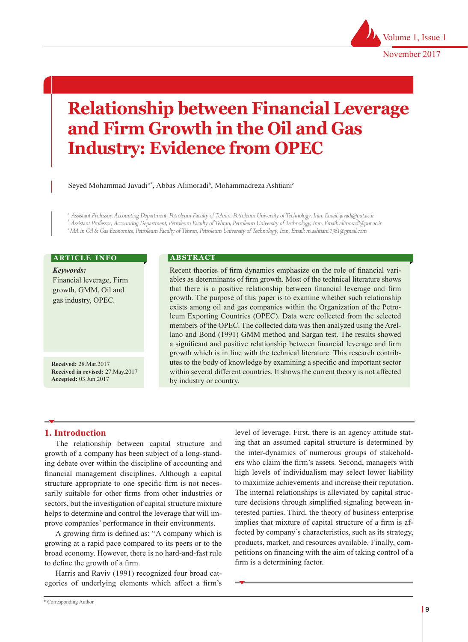

# **Relationship between Financial Leverage and Firm Growth in the Oil and Gas Industry: Evidence from OPEC**

Seyed Mohammad Javadi a\*, Abbas Alimoradib , Mohammadreza Ashtianic

<sup>a</sup> Assistant Professor, Accounting Department, Petroleum Faculty of Tehran, Petroleum University of Technology, Iran. Email: javadi@put.ac.ir

b Assistant Professor, Accounting Department, Petroleum Faculty of Tehran, Petroleum University of Technology, Iran. Email: alimoradi@put.ac.ir c MA in Oil & Gas Economics, Petroleum Faculty of Tehran, Petroleum University of Technology, Iran, Email: m.ashtiani.1361@gmail.com

#### **ARTICLE INFO**

*Keywords:* Financial leverage, Firm growth, GMM, Oil and gas industry, OPEC.

**Received:** 28.Mar.2017 **Received in revised:** 27.May.2017 **Accepted:** 03.Jun.2017

#### **ABSTRACT**

Recent theories of firm dynamics emphasize on the role of financial variables as determinants of firm growth. Most of the technical literature shows that there is a positive relationship between financial leverage and firm growth. The purpose of this paper is to examine whether such relationship exists among oil and gas companies within the Organization of the Petroleum Exporting Countries (OPEC). Data were collected from the selected members of the OPEC. The collected data was then analyzed using the Arellano and Bond (1991) GMM method and Sargan test. The results showed a significant and positive relationship between financial leverage and firm growth which is in line with the technical literature. This research contributes to the body of knowledge by examining a specific and important sector within several different countries. It shows the current theory is not affected by industry or country.

## **1. Introduction**

The relationship between capital structure and growth of a company has been subject of a long-standing debate over within the discipline of accounting and financial management disciplines. Although a capital structure appropriate to one specific firm is not necessarily suitable for other firms from other industries or sectors, but the investigation of capital structure mixture helps to determine and control the leverage that will improve companies' performance in their environments.

A growing firm is defined as: "A company which is growing at a rapid pace compared to its peers or to the broad economy. However, there is no hard-and-fast rule to define the growth of a firm.

Harris and Raviv (1991) recognized four broad categories of underlying elements which affect a firm's level of leverage. First, there is an agency attitude stating that an assumed capital structure is determined by the inter-dynamics of numerous groups of stakeholders who claim the firm's assets. Second, managers with high levels of individualism may select lower liability to maximize achievements and increase their reputation. The internal relationships is alleviated by capital structure decisions through simplified signaling between interested parties. Third, the theory of business enterprise implies that mixture of capital structure of a firm is affected by company's characteristics, such as its strategy, products, market, and resources available. Finally, competitions on financing with the aim of taking control of a firm is a determining factor.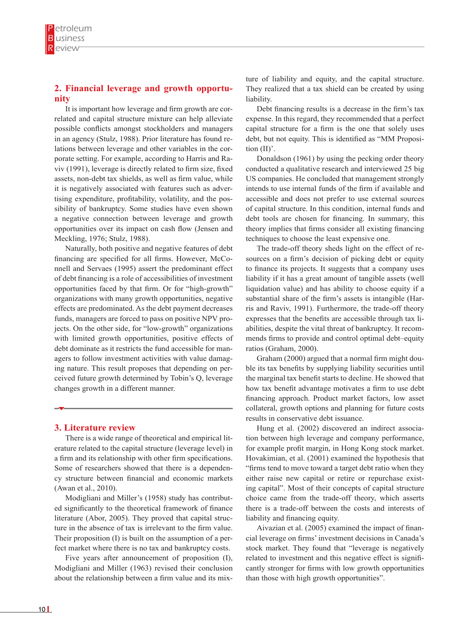# **2. Financial leverage and growth opportunity**

It is important how leverage and firm growth are correlated and capital structure mixture can help alleviate possible conflicts amongst stockholders and managers in an agency (Stulz, 1988). Prior literature has found relations between leverage and other variables in the corporate setting. For example, according to Harris and Raviv (1991), leverage is directly related to firm size, fixed assets, non-debt tax shields, as well as firm value, while it is negatively associated with features such as advertising expenditure, profitability, volatility, and the possibility of bankruptcy. Some studies have even shown a negative connection between leverage and growth opportunities over its impact on cash flow (Jensen and Meckling, 1976; Stulz, 1988).

Naturally, both positive and negative features of debt financing are specified for all firms. However, McConnell and Servaes (1995) assert the predominant effect of debt financing is a role of accessibilities of investment opportunities faced by that firm. Or for "high-growth" organizations with many growth opportunities, negative effects are predominated. As the debt payment decreases funds, managers are forced to pass on positive NPV projects. On the other side, for "low-growth" organizations with limited growth opportunities, positive effects of debt dominate as it restricts the fund accessible for managers to follow investment activities with value damaging nature. This result proposes that depending on perceived future growth determined by Tobin's Q, leverage changes growth in a different manner.

## **3. Literature review**

There is a wide range of theoretical and empirical literature related to the capital structure (leverage level) in a firm and its relationship with other firm specifications. Some of researchers showed that there is a dependency structure between financial and economic markets (Awan et al., 2010).

Modigliani and Miller's (1958) study has contributed significantly to the theoretical framework of finance literature (Abor, 2005). They proved that capital structure in the absence of tax is irrelevant to the firm value. Their proposition (I) is built on the assumption of a perfect market where there is no tax and bankruptcy costs.

Five years after announcement of proposition (I), Modigliani and Miller (1963) revised their conclusion about the relationship between a firm value and its mixture of liability and equity, and the capital structure. They realized that a tax shield can be created by using liability.

Debt financing results is a decrease in the firm's tax expense. In this regard, they recommended that a perfect capital structure for a firm is the one that solely uses debt, but not equity. This is identified as "MM Proposition  $(II)$ .

Donaldson (1961) by using the pecking order theory conducted a qualitative research and interviewed 25 big US companies. He concluded that management strongly intends to use internal funds of the firm if available and accessible and does not prefer to use external sources of capital structure. In this condition, internal funds and debt tools are chosen for financing. In summary, this theory implies that firms consider all existing financing techniques to choose the least expensive one.

The trade-off theory sheds light on the effect of resources on a firm's decision of picking debt or equity to finance its projects. It suggests that a company uses liability if it has a great amount of tangible assets (well liquidation value) and has ability to choose equity if a substantial share of the firm's assets is intangible (Harris and Raviv, 1991). Furthermore, the trade-off theory expresses that the benefits are accessible through tax liabilities, despite the vital threat of bankruptcy. It recommends firms to provide and control optimal debt–equity ratios (Graham, 2000).

Graham (2000) argued that a normal firm might double its tax benefits by supplying liability securities until the marginal tax benefit starts to decline. He showed that how tax benefit advantage motivates a firm to use debt financing approach. Product market factors, low asset collateral, growth options and planning for future costs results in conservative debt issuance.

Hung et al. (2002) discovered an indirect association between high leverage and company performance, for example profit margin, in Hong Kong stock market. Hovakimian, et al. (2001) examined the hypothesis that "firms tend to move toward a target debt ratio when they either raise new capital or retire or repurchase existing capital". Most of their concepts of capital structure choice came from the trade-off theory, which asserts there is a trade-off between the costs and interests of liability and financing equity.

Aivazian et al. (2005) examined the impact of financial leverage on firms' investment decisions in Canada's stock market. They found that "leverage is negatively related to investment and this negative effect is significantly stronger for firms with low growth opportunities than those with high growth opportunities".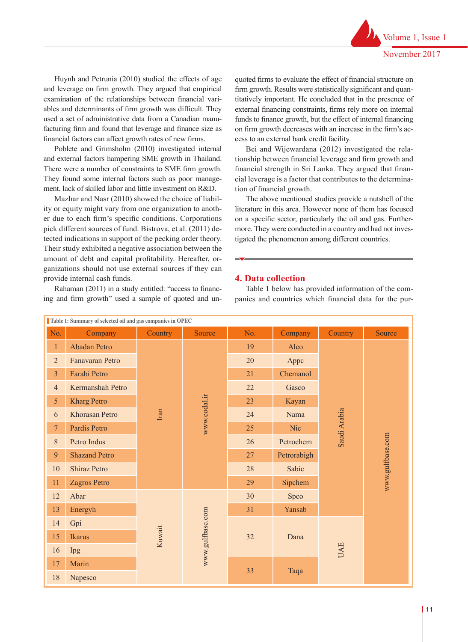Huynh and Petrunia (2010) studied the effects of age and leverage on firm growth. They argued that empirical examination of the relationships between financial variables and determinants of firm growth was difficult. They used a set of administrative data from a Canadian manufacturing firm and found that leverage and finance size as financial factors can affect growth rates of new firms.

Poblete and Grimsholm (2010) investigated internal and external factors hampering SME growth in Thailand. There were a number of constraints to SME firm growth. They found some internal factors such as poor management, lack of skilled labor and little investment on R&D.

Mazhar and Nasr (2010) showed the choice of liability or equity might vary from one organization to another due to each firm's specific conditions. Corporations pick different sources of fund. Bistrova, et al. (2011) detected indications in support of the pecking order theory. Their study exhibited a negative association between the amount of debt and capital profitability. Hereafter, organizations should not use external sources if they can provide internal cash funds.

Rahaman (2011) in a study entitled: "access to financing and firm growth" used a sample of quoted and unquoted firms to evaluate the effect of financial structure on firm growth. Results were statistically significant and quantitatively important. He concluded that in the presence of external financing constraints, firms rely more on internal funds to finance growth, but the effect of internal financing on firm growth decreases with an increase in the firm's access to an external bank credit facility.

Bei and Wijewardana (2012) investigated the relationship between financial leverage and firm growth and financial strength in Sri Lanka. They argued that financial leverage is a factor that contributes to the determination of financial growth.

The above mentioned studies provide a nutshell of the literature in this area. However none of them has focused on a specific sector, particularly the oil and gas. Furthermore. They were conducted in a country and had not investigated the phenomenon among different countries.

# **4. Data collection**

Table 1 below has provided information of the companies and countries which financial data for the pur-

|                | Table 1: Summary of selected oil and gas companies in OPEC |         |                            |     |             |              |                  |  |    |       |  |  |
|----------------|------------------------------------------------------------|---------|----------------------------|-----|-------------|--------------|------------------|--|----|-------|--|--|
| No.            | Company                                                    | Country | Source                     | No. | Company     | Country      | Source           |  |    |       |  |  |
| $\mathbf{1}$   | <b>Abadan Petro</b>                                        |         |                            | 19  | Alco        |              |                  |  |    |       |  |  |
| $\overline{2}$ | Fanavaran Petro                                            |         |                            | 20  | Appc        |              |                  |  |    |       |  |  |
| $\overline{3}$ | Farabi Petro                                               |         |                            | 21  | Chemanol    |              |                  |  |    |       |  |  |
| $\overline{4}$ | Kermanshah Petro                                           |         |                            | 22  | Gasco       |              |                  |  |    |       |  |  |
| 5              | <b>Kharg Petro</b>                                         |         |                            | 23  | Kayan       |              |                  |  |    |       |  |  |
| 6              | Khorasan Petro                                             | Iran    | www.codal.ir               | 24  | Nama        | Saudi Arabia |                  |  |    |       |  |  |
| $\overline{7}$ | Pardis Petro                                               |         |                            |     |             | 25           | <b>Nic</b>       |  |    |       |  |  |
| $8\,$          | Petro Indus                                                |         |                            | 26  | Petrochem   |              | www.gulfbase.com |  |    |       |  |  |
| $\overline{9}$ | <b>Shazand Petro</b>                                       |         |                            | 27  | Petrorabigh |              |                  |  |    |       |  |  |
| 10             | <b>Shiraz Petro</b>                                        |         |                            |     |             |              |                  |  | 28 | Sabic |  |  |
| 11             | Zagros Petro                                               |         |                            | 29  | Sipchem     |              |                  |  |    |       |  |  |
| 12             | Abar                                                       |         |                            | 30  | Spco        |              |                  |  |    |       |  |  |
| 13             | Energyh                                                    |         |                            | 31  | Yansab      |              |                  |  |    |       |  |  |
| 14             | Gpi                                                        |         |                            |     |             |              |                  |  |    |       |  |  |
| 15             | Ikarus                                                     |         | www.gulfbase.com<br>Kuwait | 32  | Dana        |              |                  |  |    |       |  |  |
| 16             | Ipg                                                        |         |                            |     |             | <b>UAE</b>   |                  |  |    |       |  |  |
| 17             | Marin                                                      |         |                            |     | 33          | Taqa         |                  |  |    |       |  |  |
| 18             | Napesco                                                    |         |                            |     |             |              |                  |  |    |       |  |  |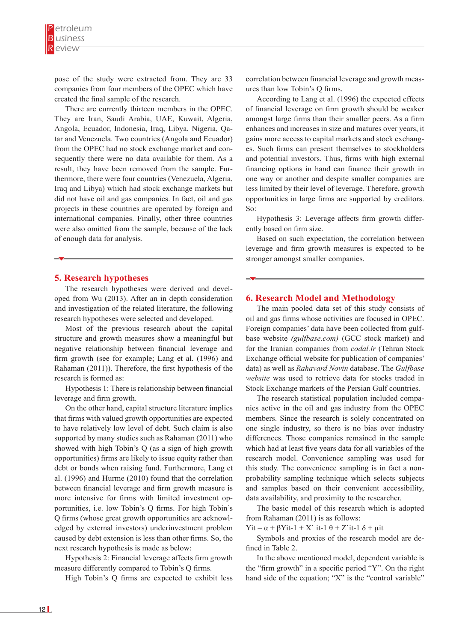pose of the study were extracted from. They are 33 companies from four members of the OPEC which have created the final sample of the research.

There are currently thirteen members in the OPEC. They are Iran, Saudi Arabia, UAE, Kuwait, Algeria, Angola, Ecuador, Indonesia, Iraq, Libya, Nigeria, Qatar and Venezuela. Two countries (Angola and Ecuador) from the OPEC had no stock exchange market and consequently there were no data available for them. As a result, they have been removed from the sample. Furthermore, there were four countries (Venezuela, Algeria, Iraq and Libya) which had stock exchange markets but did not have oil and gas companies. In fact, oil and gas projects in these countries are operated by foreign and international companies. Finally, other three countries were also omitted from the sample, because of the lack of enough data for analysis.

#### **5. Research hypotheses**

The research hypotheses were derived and developed from Wu (2013). After an in depth consideration and investigation of the related literature, the following research hypotheses were selected and developed.

Most of the previous research about the capital structure and growth measures show a meaningful but negative relationship between financial leverage and firm growth (see for example; Lang et al. (1996) and Rahaman (2011)). Therefore, the first hypothesis of the research is formed as:

Hypothesis 1: There is relationship between financial leverage and firm growth.

On the other hand, capital structure literature implies that firms with valued growth opportunities are expected to have relatively low level of debt. Such claim is also supported by many studies such as Rahaman (2011) who showed with high Tobin's Q (as a sign of high growth opportunities) firms are likely to issue equity rather than debt or bonds when raising fund. Furthermore, Lang et al. (1996) and Hurme (2010) found that the correlation between financial leverage and firm growth measure is more intensive for firms with limited investment opportunities, i.e. low Tobin's Q firms. For high Tobin's Q firms (whose great growth opportunities are acknowledged by external investors) underinvestment problem caused by debt extension is less than other firms. So, the next research hypothesis is made as below:

Hypothesis 2: Financial leverage affects firm growth measure differently compared to Tobin's Q firms.

High Tobin's Q firms are expected to exhibit less

correlation between financial leverage and growth measures than low Tobin's Q firms.

According to Lang et al. (1996) the expected effects of financial leverage on firm growth should be weaker amongst large firms than their smaller peers. As a firm enhances and increases in size and matures over years, it gains more access to capital markets and stock exchanges. Such firms can present themselves to stockholders and potential investors. Thus, firms with high external financing options in hand can finance their growth in one way or another and despite smaller companies are less limited by their level of leverage. Therefore, growth opportunities in large firms are supported by creditors. So:

Hypothesis 3: Leverage affects firm growth differently based on firm size.

Based on such expectation, the correlation between leverage and firm growth measures is expected to be stronger amongst smaller companies.

#### **6. Research Model and Methodology**

The main pooled data set of this study consists of oil and gas firms whose activities are focused in OPEC. Foreign companies' data have been collected from gulfbase website *(gulfbase.com)* (GCC stock market) and for the Iranian companies from *codal.ir* (Tehran Stock Exchange official website for publication of companies' data) as well as *Rahavard Novin* database. The *Gulfbase website* was used to retrieve data for stocks traded in Stock Exchange markets of the Persian Gulf countries.

The research statistical population included companies active in the oil and gas industry from the OPEC members. Since the research is solely concentrated on one single industry, so there is no bias over industry differences. Those companies remained in the sample which had at least five years data for all variables of the research model. Convenience sampling was used for this study. The convenience sampling is in fact a nonprobability sampling technique which selects subjects and samples based on their convenient accessibility, data availability, and proximity to the researcher.

The basic model of this research which is adopted from Rahaman (2011) is as follows:

Yit =  $\alpha$  +  $\beta$ Yit-1 + X` it-1  $\theta$  + Z`it-1  $\delta$  +  $\mu$ it

Symbols and proxies of the research model are defined in Table 2.

In the above mentioned model, dependent variable is the "firm growth" in a specific period "Y". On the right hand side of the equation; "X" is the "control variable"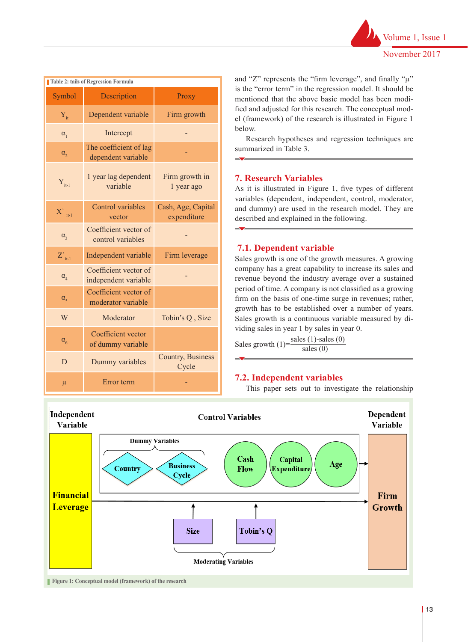| Volume 1, Issue 1 |
|-------------------|
| November 2017     |

|                                                                                                               | Table 2: tails of Regression Formula          |                                   | and "Z" represents the "firm leverage", and finally " $\mu$ "                                                                                       |
|---------------------------------------------------------------------------------------------------------------|-----------------------------------------------|-----------------------------------|-----------------------------------------------------------------------------------------------------------------------------------------------------|
| Symbol                                                                                                        | Description                                   | Proxy                             | is the "error term" in the regression model. It should be<br>mentioned that the above basic model has been modi-                                    |
| $Y_{it}$                                                                                                      | Dependent variable                            | Firm growth                       | fied and adjusted for this research. The conceptual mod-<br>el (framework) of the research is illustrated in Figure 1                               |
| $\alpha_{1}$                                                                                                  | Intercept                                     |                                   | below.<br>Research hypotheses and regression techniques are                                                                                         |
| $\alpha_{2}$                                                                                                  | The coefficient of lag<br>dependent variable  |                                   | summarized in Table 3.                                                                                                                              |
| $\mathbf{Y}_{\text{it-1}}$                                                                                    | 1 year lag dependent<br>variable              | Firm growth in<br>1 year ago      | <b>7. Research Variables</b><br>As it is illustrated in Figure 1, five types of different<br>variables (dependent, independent, control, moderator, |
| $\overline{X}_{\hspace{-0.1cm}\textit{i}\hspace{-0.1cm}\textit{t}\hspace{-0.1cm}\textit{--}\hspace{-0.1cm}1}$ | Control variables<br>vector                   | Cash, Age, Capital<br>expenditure | and dummy) are used in the research model. They are<br>described and explained in the following.                                                    |
| $\alpha_{3}$                                                                                                  | Coefficient vector of<br>control variables    |                                   |                                                                                                                                                     |
| $Z_{i+1}$                                                                                                     | Independent variable                          | Firm leverage                     | <b>7.1. Dependent variable</b><br>Sales growth is one of the growth measures. A growing                                                             |
| $\alpha_{\scriptscriptstyle 4}$                                                                               | Coefficient vector of<br>independent variable |                                   | company has a great capability to increase its sales and<br>revenue beyond the industry average over a sustained                                    |
| $\alpha_{5}$                                                                                                  | Coefficient vector of<br>moderator variable   |                                   | period of time. A company is not classified as a growing<br>firm on the basis of one-time surge in revenues; rather,                                |
| W                                                                                                             | Moderator                                     | Tobin's Q, Size                   | growth has to be established over a number of years.<br>Sales growth is a continuous variable measured by di-                                       |
| $\alpha_{6}$                                                                                                  | Coefficient vector<br>of dummy variable       |                                   | viding sales in year 1 by sales in year 0.<br>Sales growth $(1) = \frac{\text{sales}(1) - \text{sales}(0)}{\text{sales}(0)}$                        |
| $\mathbf{D}$                                                                                                  | Dummy variables                               | Country, Business<br>Cycle        |                                                                                                                                                     |
| $\mu$                                                                                                         | Error term                                    |                                   | <b>7.2. Independent variables</b><br>This paper sets out to investigate the relationship                                                            |

# **7. Research Variables**

# **7.1. Dependent variable**

## **7.2. Independent variables**

**Figure 1:** This paper sets out to investigate the relationship **1:** Conceptual model (framework) of the relationship



**Figure 1: Conceptual model (framework) of the research** regard recorresponds model product production techniques are summarized in Table 3 below.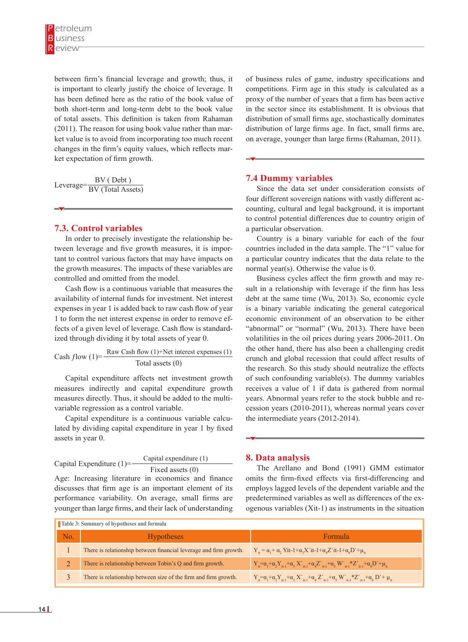between firm's financial leverage and growth; thus, it is important to clearly justify the choice of leverage. It has been defined here as the ratio of the book value of both short-term and long-term debt to the book value of total assets. This definition is taken from Rahaman (2011). The reason for using book value rather than market value is to avoid from incorporating too much recent changes in the firm's equity values, which reflects market expectation of firm growth.

Leverage= $\frac{\text{BV} \left( \text{Debt} \right)}{\text{BV} \left( \text{Total Assets} \right)}$ 

## **7.3. Control variables**

In order to precisely investigate the relationship between leverage and five growth measures, it is important to control various factors that may have impacts on the growth measures. The impacts of these variables are controlled and omitted from the model.

Cash flow is a continuous variable that measures the availability of internal funds for investment. Net interest expenses in year 1 is added back to raw cash flow of year 1 to form the net interest expense in order to remove effects of a given level of leverage. Cash flow is standardized through dividing it by total assets of year 0.

Cash flow (1)= 
$$
\frac{\text{Raw Cash flow (1)+Net interest expenses (1)}}{\text{Total assets (0)}}
$$

Capital expenditure affects net investment growth measures indirectly and capital expenditure growth measures directly. Thus, it should be added to the multivariable regression as a control variable.

Capital expenditure is a continuous variable calculated by dividing capital expenditure in year 1 by fixed assets in year 0.

|                             | Capital expenditure (1) |  |
|-----------------------------|-------------------------|--|
| Capital Expenditure $(1)$ = |                         |  |

Fixed assets (0) Age: Increasing literature in economics and finance discusses that firm age is an important element of its performance variability. On average, small firms are

younger than large firms, and their lack of understanding

of business rules of game, industry specifications and competitions. Firm age in this study is calculated as a proxy of the number of years that a firm has been active in the sector since its establishment. It is obvious that distribution of small firms age, stochastically dominates distribution of large firms age. In fact, small firms are, on average, younger than large firms (Rahaman, 2011).

## **7.4 Dummy variables**

Since the data set under consideration consists of four different sovereign nations with vastly different accounting, cultural and legal background, it is important to control potential differences due to country origin of a particular observation.

Country is a binary variable for each of the four countries included in the data sample. The "1" value for a particular country indicates that the data relate to the normal year(s). Otherwise the value is 0.

Business cycles affect the firm growth and may result in a relationship with leverage if the firm has less debt at the same time (Wu, 2013). So, economic cycle is a binary variable indicating the general categorical economic environment of an observation to be either "abnormal" or "normal" (Wu, 2013). There have been volatilities in the oil prices during years 2006-2011. On the other hand, there has also been a challenging credit crunch and global recession that could affect results of the research. So this study should neutralize the effects of such confounding variable(s). The dummy variables receives a value of 1 if data is gathered from normal years. Abnormal years refer to the stock bubble and recession years (2010-2011), whereas normal years cover the intermediate years (2012-2014).

## **8. Data analysis**

The Arellano and Bond (1991) GMM estimator omits the firm-fixed effects via first-differencing and employs lagged levels of the dependent variable and the predetermined variables as well as differences of the exogenous variables (Xit-1) as instruments in the situation

|     | Table 3: Summary of hypotheses and formula                        |                                                                                                                                                  |  |  |  |  |
|-----|-------------------------------------------------------------------|--------------------------------------------------------------------------------------------------------------------------------------------------|--|--|--|--|
| No. | <b>Hypotheses</b>                                                 | Formula                                                                                                                                          |  |  |  |  |
|     | There is relationship between financial leverage and firm growth. | $Y_{i} = \alpha_{i} + \alpha_{i}$ , Yit-1+ $\alpha_{i}X$ it-1+ $\alpha_{i}Z$ it-1+ $\alpha_{i}D$ + $\mu_{i}$                                     |  |  |  |  |
|     | There is relationship between Tobin's Q and firm growth.          | $Y_{i} = \alpha_{i} + \alpha_{i}Y_{i+1} + \alpha_{i}X_{i+1} + \alpha_{i}Z_{i+1} + \alpha_{i}W_{i+1} + Z_{i+1} + \alpha_{i}D^{\dagger} + \mu_{i}$ |  |  |  |  |
|     | There is relationship between size of the firm and firm growth.   | $Y_i = \alpha_i + \alpha_i Y_{i+1} + \alpha_i X_{i+1} + \alpha_i Z_{i+1} + \alpha_i W_{i+1} * Z_{i+1} + \alpha_i D^2 + \mu_i$                    |  |  |  |  |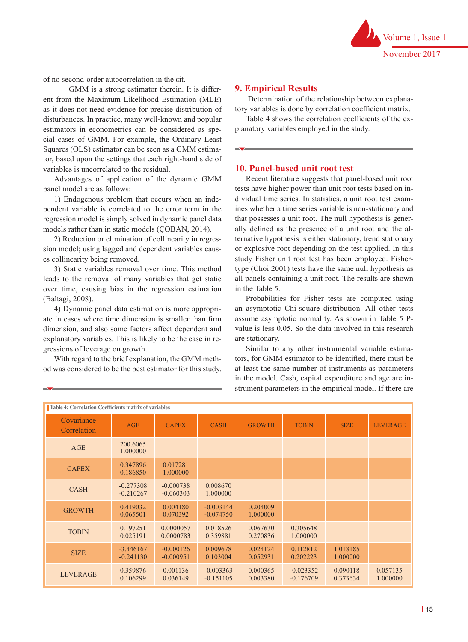

of no second-order autocorrelation in the εit.

 GMM is a strong estimator therein. It is different from the Maximum Likelihood Estimation (MLE) as it does not need evidence for precise distribution of disturbances. In practice, many well-known and popular estimators in econometrics can be considered as special cases of GMM. For example, the Ordinary Least Squares (OLS) estimator can be seen as a GMM estimator, based upon the settings that each right-hand side of variables is uncorrelated to the residual.

Advantages of application of the dynamic GMM panel model are as follows:

1) Endogenous problem that occurs when an independent variable is correlated to the error term in the regression model is simply solved in dynamic panel data models rather than in static models (ÇOBAN, 2014).

2) Reduction or elimination of collinearity in regression model; using lagged and dependent variables causes collinearity being removed.

3) Static variables removal over time. This method leads to the removal of many variables that get static over time, causing bias in the regression estimation (Baltagi, 2008).

4) Dynamic panel data estimation is more appropriate in cases where time dimension is smaller than firm dimension, and also some factors affect dependent and explanatory variables. This is likely to be the case in regressions of leverage on growth.

With regard to the brief explanation, the GMM method was considered to be the best estimator for this study.

## **9. Empirical Results**

 Determination of the relationship between explanatory variables is done by correlation coefficient matrix.

Table 4 shows the correlation coefficients of the explanatory variables employed in the study.

#### **10. Panel-based unit root test**

Recent literature suggests that panel-based unit root tests have higher power than unit root tests based on individual time series. In statistics, a unit root test examines whether a time series variable is non-stationary and that possesses a unit root. The null hypothesis is generally defined as the presence of a unit root and the alternative hypothesis is either stationary, trend stationary or explosive root depending on the test applied. In this study Fisher unit root test has been employed. Fishertype (Choi 2001) tests have the same null hypothesis as all panels containing a unit root. The results are shown in the Table 5.

Probabilities for Fisher tests are computed using an asymptotic Chi-square distribution. All other tests assume asymptotic normality. As shown in Table 5 Pvalue is less 0.05. So the data involved in this research are stationary.

Similar to any other instrumental variable estimators, for GMM estimator to be identified, there must be at least the same number of instruments as parameters in the model. Cash, capital expenditure and age are instrument parameters in the empirical model. If there are

| Table 4: Correlation Coefficients matrix of variables |                            |                            |                            |                      |                            |                      |                      |
|-------------------------------------------------------|----------------------------|----------------------------|----------------------------|----------------------|----------------------------|----------------------|----------------------|
| Covariance<br>Correlation                             | AGE                        | <b>CAPEX</b>               | <b>CASH</b>                | <b>GROWTH</b>        | <b>TOBIN</b>               | <b>SIZE</b>          | <b>LEVERAGE</b>      |
| AGE                                                   | 200.6065<br>1.000000       |                            |                            |                      |                            |                      |                      |
| <b>CAPEX</b>                                          | 0.347896<br>0.186850       | 0.017281<br>1.000000       |                            |                      |                            |                      |                      |
| <b>CASH</b>                                           | $-0.277308$<br>$-0.210267$ | $-0.000738$<br>$-0.060303$ | 0.008670<br>1.000000       |                      |                            |                      |                      |
| <b>GROWTH</b>                                         | 0.419032<br>0.065501       | 0.004180<br>0.070392       | $-0.003144$<br>$-0.074750$ | 0.204009<br>1.000000 |                            |                      |                      |
| <b>TOBIN</b>                                          | 0.197251<br>0.025191       | 0.0000057<br>0.0000783     | 0.018526<br>0.359881       | 0.067630<br>0.270836 | 0.305648<br>1.000000       |                      |                      |
| <b>SIZE</b>                                           | $-3.446167$<br>$-0.241130$ | $-0.000126$<br>$-0.000951$ | 0.009678<br>0.103004       | 0.024124<br>0.052931 | 0.112812<br>0.202223       | 1.018185<br>1.000000 |                      |
| <b>LEVERAGE</b>                                       | 0.359876<br>0.106299       | 0.001136<br>0.036149       | $-0.003363$<br>$-0.151105$ | 0.000365<br>0.003380 | $-0.023352$<br>$-0.176709$ | 0.090118<br>0.373634 | 0.057135<br>1.000000 |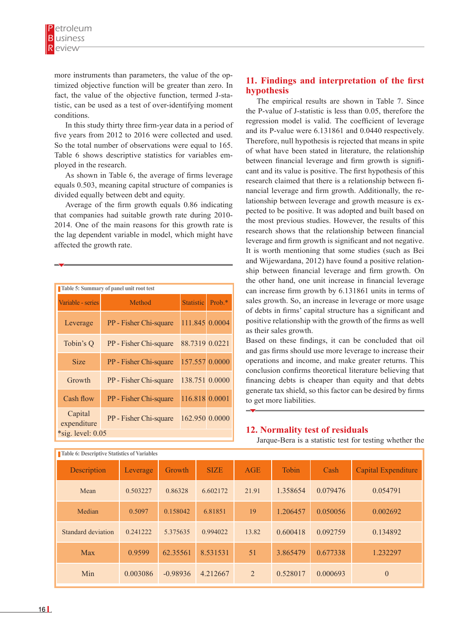more instruments than parameters, the value of the optimized objective function will be greater than zero. In fact, the value of the objective function, termed J-statistic, can be used as a test of over-identifying moment conditions.

In this study thirty three firm-year data in a period of five years from 2012 to 2016 were collected and used. So the total number of observations were equal to 165. Table 6 shows descriptive statistics for variables employed in the research.

As shown in Table 6, the average of firms leverage equals 0.503, meaning capital structure of companies is divided equally between debt and equity.

Average of the firm growth equals 0.86 indicating that companies had suitable growth rate during 2010- 2014. One of the main reasons for this growth rate is the lag dependent variable in model, which might have affected the growth rate.

|                        | Table 5: Summary of panel unit root test |                  |           |  |  |  |
|------------------------|------------------------------------------|------------------|-----------|--|--|--|
| Variable - series      | Method                                   | <b>Statistic</b> | Prob. $*$ |  |  |  |
| Leverage               | PP - Fisher Chi-square                   | 111.845 0.0004   |           |  |  |  |
| Tobin's Q              | PP - Fisher Chi-square                   | 88.7319 0.0221   |           |  |  |  |
| <b>Size</b>            | PP - Fisher Chi-square                   | 157.557 0.0000   |           |  |  |  |
| Growth                 | PP - Fisher Chi-square                   | 138.751 0.0000   |           |  |  |  |
| Cash flow              | PP - Fisher Chi-square                   | 116.818 0.0001   |           |  |  |  |
| Capital<br>expenditure | PP - Fisher Chi-square                   | 162.950 0.0000   |           |  |  |  |
| $*$ sig. level: $0.05$ |                                          |                  |           |  |  |  |

# **11. Findings and interpretation of the first hypothesis**

The empirical results are shown in Table 7. Since the P-value of J-statistic is less than 0.05, therefore the regression model is valid. The coefficient of leverage and its P-value were 6.131861 and 0.0440 respectively. Therefore, null hypothesis is rejected that means in spite of what have been stated in literature, the relationship between financial leverage and firm growth is significant and its value is positive. The first hypothesis of this research claimed that there is a relationship between financial leverage and firm growth. Additionally, the relationship between leverage and growth measure is expected to be positive. It was adopted and built based on the most previous studies. However, the results of this research shows that the relationship between financial leverage and firm growth is significant and not negative. It is worth mentioning that some studies (such as Bei and Wijewardana, 2012) have found a positive relationship between financial leverage and firm growth. On the other hand, one unit increase in financial leverage can increase firm growth by 6.131861 units in terms of sales growth. So, an increase in leverage or more usage of debts in firms' capital structure has a significant and positive relationship with the growth of the firms as well as their sales growth.

Based on these findings, it can be concluded that oil and gas firms should use more leverage to increase their operations and income, and make greater returns. This conclusion confirms theoretical literature believing that financing debts is cheaper than equity and that debts generate tax shield, so this factor can be desired by firms to get more liabilities.

## **12. Normality test of residuals**

Jarque-Bera is a statistic test for testing whether the

| <b>Table 6: Descriptive Statistics of Variables</b> |          |            |             |       |          |          |                     |
|-----------------------------------------------------|----------|------------|-------------|-------|----------|----------|---------------------|
| Description                                         | Leverage | Growth     | <b>SIZE</b> | AGE   | Tobin    | Cash     | Capital Expenditure |
| Mean                                                | 0.503227 | 0.86328    | 6.602172    | 21.91 | 1.358654 | 0.079476 | 0.054791            |
| Median                                              | 0.5097   | 0.158042   | 6.81851     | 19    | 1.206457 | 0.050056 | 0.002692            |
| Standard deviation                                  | 0.241222 | 5.375635   | 0.994022    | 13.82 | 0.600418 | 0.092759 | 0.134892            |
| <b>Max</b>                                          | 0.9599   | 62.35561   | 8.531531    | 51    | 3.865479 | 0.677338 | 1.232297            |
| Min                                                 | 0.003086 | $-0.98936$ | 4.212667    | 2     | 0.528017 | 0.000693 | $\overline{0}$      |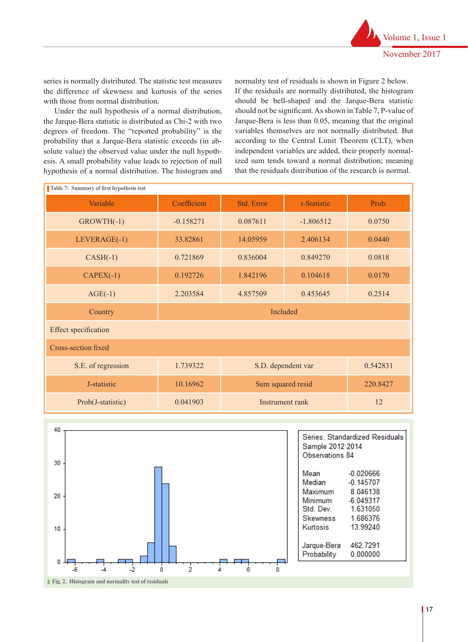series is normally distributed. The statistic test measures the difference of skewness and kurtosis of the series with those from normal distribution.

Under the null hypothesis of a normal distribution, the Jarque-Bera statistic is distributed as Chi-2 with two degrees of freedom. The "reported probability" is the probability that a Jarque-Bera statistic exceeds (in absolute value) the observed value under the null hypothesis. A small probability value leads to rejection of null hypothesis of a normal distribution. The histogram and

normality test of residuals is shown in Figure 2 below. If the residuals are normally distributed, the histogram should be bell-shaped and the Jarque-Bera statistic should not be significant. As shown in Table 7, P-value of Jarque-Bera is less than 0.05, meaning that the original variables themselves are not normally distributed. But according to the Central Limit Theorem (CLT), when independent variables are added, their properly normalized sum tends toward a normal distribution; meaning that the residuals distribution of the research is normal.

| Table 7: Summary of first hypothesis test |             |                           |                                |        |  |  |
|-------------------------------------------|-------------|---------------------------|--------------------------------|--------|--|--|
| Variable                                  | Coefficient | Std. Error<br>t-Statistic |                                | Prob.  |  |  |
| GROWTH(-1)                                | $-0.158271$ | 0.087611<br>$-1.806512$   |                                | 0.0750 |  |  |
| LEVERAGE(-1)                              | 33.82861    | 14.05959                  | 2.406134                       | 0.0440 |  |  |
| $CASH(-1)$                                | 0.721869    | 0.836004<br>0.849270      |                                | 0.0818 |  |  |
| $CAPEX(-1)$                               | 0.192726    | 1.842196                  | 0.104618                       | 0.0170 |  |  |
| $AGE(-1)$                                 | 2.203584    | 0.453645<br>4.857509      |                                | 0.2514 |  |  |
| Country                                   |             |                           | Included                       |        |  |  |
| <b>Effect specification</b>               |             |                           |                                |        |  |  |
| <b>Cross-section fixed</b>                |             |                           |                                |        |  |  |
| S.E. of regression                        | 1.739322    |                           | S.D. dependent var<br>0.542831 |        |  |  |
| J-statistic                               | 10.16962    |                           | Sum squared resid<br>220.8427  |        |  |  |
| Prob(J-statistic)                         | 0.041903    | Instrument rank           | 12                             |        |  |  |
|                                           |             |                           |                                |        |  |  |



 $-0.020666$ 

 $-0.145707$ 

8.046138

 $-6.049317$ 

1.631050

1.686376

13.99240

462.7291

0.000000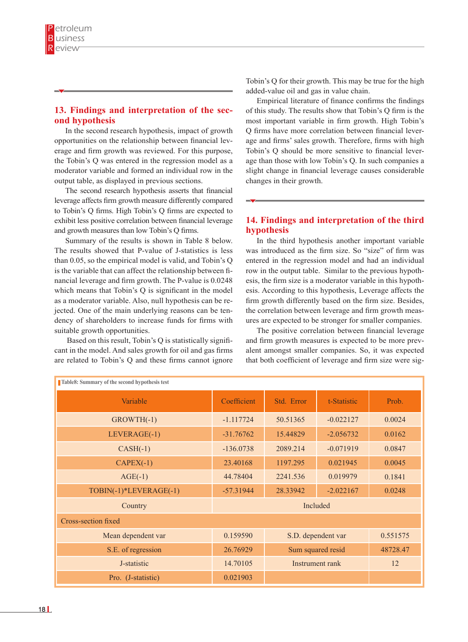# **13. Findings and interpretation of the second hypothesis**

In the second research hypothesis, impact of growth opportunities on the relationship between financial leverage and firm growth was reviewed. For this purpose, the Tobin's Q was entered in the regression model as a moderator variable and formed an individual row in the output table, as displayed in previous sections.

The second research hypothesis asserts that financial leverage affects firm growth measure differently compared to Tobin's Q firms. High Tobin's Q firms are expected to exhibit less positive correlation between financial leverage and growth measures than low Tobin's Q firms.

Summary of the results is shown in Table 8 below. The results showed that P-value of J-statistics is less than 0.05, so the empirical model is valid, and Tobin's Q is the variable that can affect the relationship between financial leverage and firm growth. The P-value is 0.0248 which means that Tobin's Q is significant in the model as a moderator variable. Also, null hypothesis can be rejected. One of the main underlying reasons can be tendency of shareholders to increase funds for firms with suitable growth opportunities.

 Based on this result, Tobin's Q is statistically significant in the model. And sales growth for oil and gas firms are related to Tobin's Q and these firms cannot ignore Tobin's Q for their growth. This may be true for the high added-value oil and gas in value chain.

Empirical literature of finance confirms the findings of this study. The results show that Tobin's Q firm is the most important variable in firm growth. High Tobin's Q firms have more correlation between financial leverage and firms' sales growth. Therefore, firms with high Tobin's Q should be more sensitive to financial leverage than those with low Tobin's Q. In such companies a slight change in financial leverage causes considerable changes in their growth.

# **14. Findings and interpretation of the third hypothesis**

In the third hypothesis another important variable was introduced as the firm size. So "size" of firm was entered in the regression model and had an individual row in the output table. Similar to the previous hypothesis, the firm size is a moderator variable in this hypothesis. According to this hypothesis, Leverage affects the firm growth differently based on the firm size. Besides, the correlation between leverage and firm growth measures are expected to be stronger for smaller companies.

The positive correlation between financial leverage and firm growth measures is expected to be more prevalent amongst smaller companies. So, it was expected that both coefficient of leverage and firm size were sig-

| Table8: Summary of the second hypothesis test |             |                    |             |          |  |  |
|-----------------------------------------------|-------------|--------------------|-------------|----------|--|--|
| Variable                                      | Coefficient | Std. Error         | t-Statistic | Prob.    |  |  |
| GROWTH(-1)                                    | $-1.117724$ | 50.51365           | $-0.022127$ | 0.0024   |  |  |
| LEVERAGE(-1)                                  | $-31.76762$ | 15.44829           | $-2.056732$ | 0.0162   |  |  |
| $CASH(-1)$                                    | $-136.0738$ | 2089.214           | $-0.071919$ | 0.0847   |  |  |
| $CAPEX(-1)$                                   | 23.40168    | 1197.295           | 0.021945    | 0.0045   |  |  |
| $AGE(-1)$                                     | 44.78404    | 2241.536           | 0.019979    | 0.1841   |  |  |
| TOBIN(-1)*LEVERAGE(-1)                        | $-57.31944$ | 28.33942           | $-2.022167$ | 0.0248   |  |  |
| Country                                       | Included    |                    |             |          |  |  |
| Cross-section fixed                           |             |                    |             |          |  |  |
| Mean dependent var                            | 0.159590    | S.D. dependent var |             | 0.551575 |  |  |
| S.E. of regression                            | 26.76929    | Sum squared resid  |             | 48728.47 |  |  |
| J-statistic                                   | 14.70105    | Instrument rank    |             | 12       |  |  |
| Pro. (J-statistic)                            | 0.021903    |                    |             |          |  |  |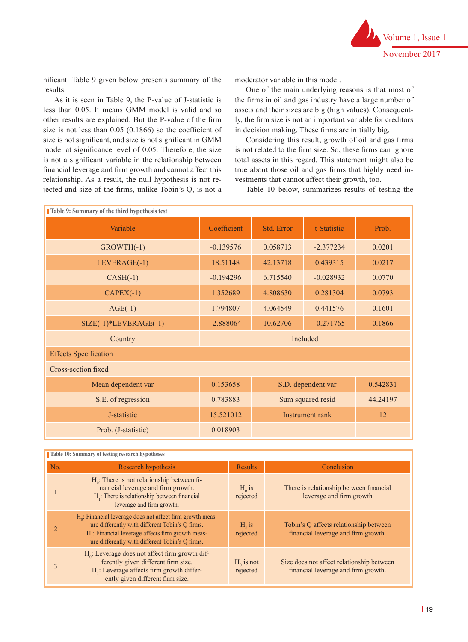nificant. Table 9 given below presents summary of the results.

As it is seen in Table 9, the P-value of J-statistic is less than 0.05. It means GMM model is valid and so other results are explained. But the P-value of the firm size is not less than 0.05 (0.1866) so the coefficient of size is not significant, and size is not significant in GMM model at significance level of 0.05. Therefore, the size is not a significant variable in the relationship between financial leverage and firm growth and cannot affect this relationship. As a result, the null hypothesis is not rejected and size of the firms, unlike Tobin's Q, is not a

moderator variable in this model.

One of the main underlying reasons is that most of the firms in oil and gas industry have a large number of assets and their sizes are big (high values). Consequently, the firm size is not an important variable for creditors in decision making. These firms are initially big.

Considering this result, growth of oil and gas firms is not related to the firm size. So, these firms can ignore total assets in this regard. This statement might also be true about those oil and gas firms that highly need investments that cannot affect their growth, too.

Table 10 below, summarizes results of testing the

| Table 9: Summary of the third hypothesis test |             |                    |             |          |  |  |
|-----------------------------------------------|-------------|--------------------|-------------|----------|--|--|
| Variable                                      | Coefficient | Std. Error         | t-Statistic | Prob.    |  |  |
| GROWTH(-1)                                    | $-0.139576$ | 0.058713           | $-2.377234$ | 0.0201   |  |  |
| LEVERAGE(-1)                                  | 18.51148    | 42.13718           | 0.439315    | 0.0217   |  |  |
| $CASH(-1)$                                    | $-0.194296$ | 6.715540           | $-0.028932$ | 0.0770   |  |  |
| $CAPEX(-1)$                                   | 1.352689    | 4.808630           | 0.281304    | 0.0793   |  |  |
| $AGE(-1)$                                     | 1.794807    | 4.064549           | 0.441576    | 0.1601   |  |  |
| $SIZE(-1)*LEVERAGE(-1)$                       | $-2.888064$ | 10.62706           | $-0.271765$ | 0.1866   |  |  |
| Country                                       | Included    |                    |             |          |  |  |
| <b>Effects Specification</b>                  |             |                    |             |          |  |  |
| Cross-section fixed                           |             |                    |             |          |  |  |
| Mean dependent var                            | 0.153658    | S.D. dependent var |             | 0.542831 |  |  |
| S.E. of regression                            | 0.783883    | Sum squared resid  |             | 44.24197 |  |  |
| J-statistic                                   | 15.521012   | Instrument rank    |             | 12       |  |  |
| Prob. (J-statistic)                           | 0.018903    |                    |             |          |  |  |

|                | Table 10: Summary of testing research hypotheses                                                                                                                                                                                    |                          |                                                                                  |  |  |  |  |
|----------------|-------------------------------------------------------------------------------------------------------------------------------------------------------------------------------------------------------------------------------------|--------------------------|----------------------------------------------------------------------------------|--|--|--|--|
| No.            | Research hypothesis                                                                                                                                                                                                                 | <b>Results</b>           | Conclusion                                                                       |  |  |  |  |
|                | $H_0$ : There is not relationship between fi-<br>nan cial leverage and firm growth.<br>$H_i$ : There is relationship between financial<br>leverage and firm growth.                                                                 | $H_0$ is<br>rejected     | There is relationship between financial<br>leverage and firm growth              |  |  |  |  |
| $\overline{2}$ | $H_0$ : Financial leverage does not affect firm growth meas-<br>ure differently with different Tobin's Q firms.<br>H <sub>1</sub> : Financial leverage affects firm growth meas-<br>ure differently with different Tobin's Q firms. | $H_0$ is<br>rejected     | Tobin's Q affects relationship between<br>financial leverage and firm growth.    |  |  |  |  |
| 3              | $H_0$ : Leverage does not affect firm growth dif-<br>ferently given different firm size.<br>H <sub>1</sub> : Leverage affects firm growth differ-<br>ently given different firm size.                                               | $H_0$ is not<br>rejected | Size does not affect relationship between<br>financial leverage and firm growth. |  |  |  |  |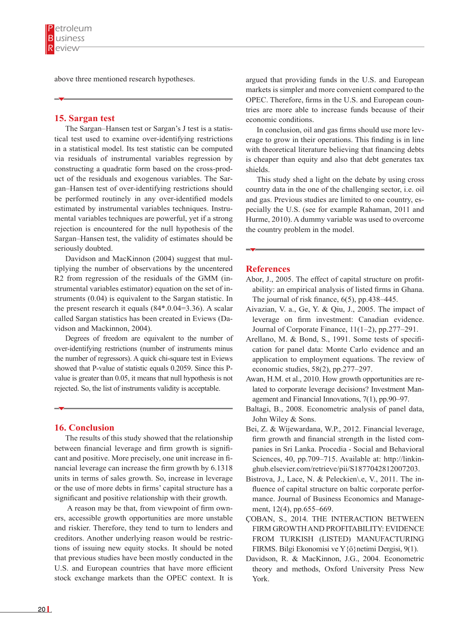above three mentioned research hypotheses.

#### **15. Sargan test**

The Sargan–Hansen test or Sargan's J test is a statistical test used to examine over-identifying restrictions in a statistical model. Its test statistic can be computed via residuals of instrumental variables regression by constructing a quadratic form based on the cross-product of the residuals and exogenous variables. The Sargan–Hansen test of over-identifying restrictions should be performed routinely in any over-identified models estimated by instrumental variables techniques. Instrumental variables techniques are powerful, yet if a strong rejection is encountered for the null hypothesis of the Sargan–Hansen test, the validity of estimates should be seriously doubted.

Davidson and MacKinnon (2004) suggest that multiplying the number of observations by the uncentered R2 from regression of the residuals of the GMM (instrumental variables estimator) equation on the set of instruments (0.04) is equivalent to the Sargan statistic. In the present research it equals (84\*.0.04=3.36). A scalar called Sargan statistics has been created in Eviews (Davidson and Mackinnon, 2004).

Degrees of freedom are equivalent to the number of over-identifying restrictions (number of instruments minus the number of regressors). A quick chi-square test in Eviews showed that P-value of statistic equals 0.2059. Since this Pvalue is greater than 0.05, it means that null hypothesis is not rejected. So, the list of instruments validity is acceptable.

## **16. Conclusion**

The results of this study showed that the relationship between financial leverage and firm growth is significant and positive. More precisely, one unit increase in financial leverage can increase the firm growth by 6.1318 units in terms of sales growth. So, increase in leverage or the use of more debts in firms' capital structure has a significant and positive relationship with their growth.

 A reason may be that, from viewpoint of firm owners, accessible growth opportunities are more unstable and riskier. Therefore, they tend to turn to lenders and creditors. Another underlying reason would be restrictions of issuing new equity stocks. It should be noted that previous studies have been mostly conducted in the U.S. and European countries that have more efficient stock exchange markets than the OPEC context. It is

argued that providing funds in the U.S. and European markets is simpler and more convenient compared to the OPEC. Therefore, firms in the U.S. and European countries are more able to increase funds because of their economic conditions.

In conclusion, oil and gas firms should use more leverage to grow in their operations. This finding is in line with theoretical literature believing that financing debts is cheaper than equity and also that debt generates tax shields.

This study shed a light on the debate by using cross country data in the one of the challenging sector, i.e. oil and gas. Previous studies are limited to one country, especially the U.S. (see for example Rahaman, 2011 and Hurme, 2010). A dummy variable was used to overcome the country problem in the model.

#### **References**

- Abor, J., 2005. The effect of capital structure on profitability: an empirical analysis of listed firms in Ghana. The journal of risk finance, 6(5), pp.438–445.
- Aivazian, V. a., Ge, Y. & Qiu, J., 2005. The impact of leverage on firm investment: Canadian evidence. Journal of Corporate Finance, 11(1–2), pp.277–291.
- Arellano, M. & Bond, S., 1991. Some tests of specification for panel data: Monte Carlo evidence and an application to employment equations. The review of economic studies, 58(2), pp.277–297.
- Awan, H.M. et al., 2010. How growth opportunities are related to corporate leverage decisions? Investment Management and Financial Innovations, 7(1), pp.90–97.
- Baltagi, B., 2008. Econometric analysis of panel data, John Wiley & Sons.
- Bei, Z. & Wijewardana, W.P., 2012. Financial leverage, firm growth and financial strength in the listed companies in Sri Lanka. Procedia - Social and Behavioral Sciences, 40, pp.709–715. Available at: http://linkinghub.elsevier.com/retrieve/pii/S1877042812007203.
- Bistrova, J., Lace, N. & Peleckien\.e, V., 2011. The influence of capital structure on baltic corporate performance. Journal of Business Economics and Management, 12(4), pp.655–669.
- ÇOBAN, S., 2014. THE INTERACTION BETWEEN FIRM GROWTH AND PROFITABILITY: EVIDENCE FROM TURKISH (LISTED) MANUFACTURING FIRMS. Bilgi Ekonomisi ve Y{ö}netimi Dergisi, 9(1).
- Davidson, R. & MacKinnon, J.G., 2004. Econometric theory and methods, Oxford University Press New York.